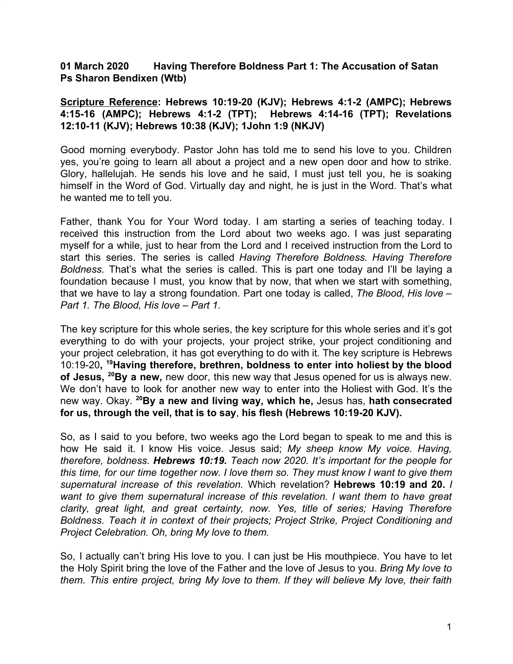## **01 March 2020 Having Therefore Boldness Part 1: The Accusation of Satan Ps Sharon Bendixen (Wtb)**

## **Scripture Reference: Hebrews 10:19-20 (KJV); Hebrews 4:1-2 (AMPC); Hebrews 4:15-16 (AMPC); Hebrews 4:1-2 (TPT); Hebrews 4:14-16 (TPT); Revelations 12:10-11 (KJV); Hebrews 10:38 (KJV); 1John 1:9 (NKJV)**

Good morning everybody. Pastor John has told me to send his love to you. Children yes, you're going to learn all about a project and a new open door and how to strike. Glory, hallelujah. He sends his love and he said, I must just tell you, he is soaking himself in the Word of God. Virtually day and night, he is just in the Word. That's what he wanted me to tell you.

Father, thank You for Your Word today. I am starting a series of teaching today. I received this instruction from the Lord about two weeks ago. I was just separating myself for a while, just to hear from the Lord and I received instruction from the Lord to start this series. The series is called *Having Therefore Boldness. Having Therefore Boldness.* That's what the series is called. This is part one today and I'll be laying a foundation because I must, you know that by now, that when we start with something, that we have to lay a strong foundation. Part one today is called, *The Blood, His love – Part 1. The Blood, His love – Part 1.*

The key scripture for this whole series, the key scripture for this whole series and it's got everything to do with your projects, your project strike, your project conditioning and your project celebration, it has got everything to do with it. The key scripture is Hebrews 10:19-20**, <sup>19</sup>Having therefore, brethren, boldness to enter into holiest by the blood of Jesus, <sup>20</sup>By a new,** new door, this new way that Jesus opened for us is always new. We don't have to look for another new way to enter into the Holiest with God. It's the new way. Okay. **<sup>20</sup>By a new and living way, which he,** Jesus has, **hath consecrated for us, through the veil, that is to say**, **his flesh (Hebrews 10:19-20 KJV).**

So, as I said to you before, two weeks ago the Lord began to speak to me and this is how He said it. I know His voice. Jesus said; *My sheep know My voice. Having, therefore, boldness. Hebrews 10:19. Teach now 2020. It's important for the people for this time, for our time together now. I love them so. They must know I want to give them supernatural increase of this revelation.* Which revelation? **Hebrews 10:19 and 20.** *I want to give them supernatural increase of this revelation. I want them to have great clarity, great light, and great certainty, now. Yes, title of series; Having Therefore Boldness. Teach it in context of their projects; Project Strike, Project Conditioning and Project Celebration. Oh, bring My love to them.*

So, I actually can't bring His love to you. I can just be His mouthpiece. You have to let the Holy Spirit bring the love of the Father and the love of Jesus to you. *Bring My love to them. This entire project, bring My love to them. If they will believe My love, their faith*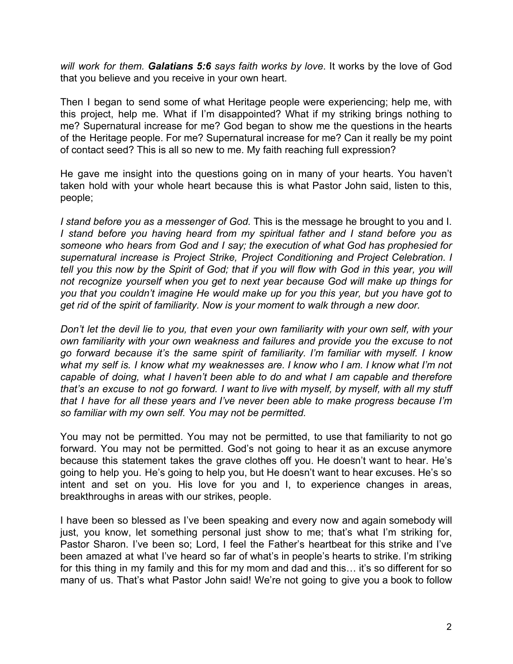*will work for them. Galatians 5:6 says faith works by love*. It works by the love of God that you believe and you receive in your own heart.

Then I began to send some of what Heritage people were experiencing; help me, with this project, help me. What if I'm disappointed? What if my striking brings nothing to me? Supernatural increase for me? God began to show me the questions in the hearts of the Heritage people. For me? Supernatural increase for me? Can it really be my point of contact seed? This is all so new to me. My faith reaching full expression?

He gave me insight into the questions going on in many of your hearts. You haven't taken hold with your whole heart because this is what Pastor John said, listen to this, people;

*I stand before you as a messenger of God.* This is the message he brought to you and I. *I stand before you having heard from my spiritual father and I stand before you as someone who hears from God and I say; the execution of what God has prophesied for supernatural increase is Project Strike, Project Conditioning and Project Celebration. I* tell you this now by the Spirit of God; that if you will flow with God in this year, you will *not recognize yourself when you get to next year because God will make up things for you that you couldn't imagine He would make up for you this year, but you have got to get rid of the spirit of familiarity. Now is your moment to walk through a new door.*

*Don't let the devil lie to you, that even your own familiarity with your own self, with your own familiarity with your own weakness and failures and provide you the excuse to not go forward because it's the same spirit of familiarity. I'm familiar with myself. I know what my self is. I know what my weaknesses are. I know who I am. I know what I'm not capable of doing, what I haven't been able to do and what I am capable and therefore* that's an excuse to not go forward. I want to live with myself, by myself, with all my stuff *that I have for all these years and I've never been able to make progress because I'm so familiar with my own self. You may not be permitted.*

You may not be permitted. You may not be permitted, to use that familiarity to not go forward. You may not be permitted. God's not going to hear it as an excuse anymore because this statement takes the grave clothes off you. He doesn't want to hear. He's going to help you. He's going to help you, but He doesn't want to hear excuses. He's so intent and set on you. His love for you and I, to experience changes in areas, breakthroughs in areas with our strikes, people.

I have been so blessed as I've been speaking and every now and again somebody will just, you know, let something personal just show to me; that's what I'm striking for, Pastor Sharon. I've been so; Lord, I feel the Father's heartbeat for this strike and I've been amazed at what I've heard so far of what's in people's hearts to strike. I'm striking for this thing in my family and this for my mom and dad and this… it's so different for so many of us. That's what Pastor John said! We're not going to give you a book to follow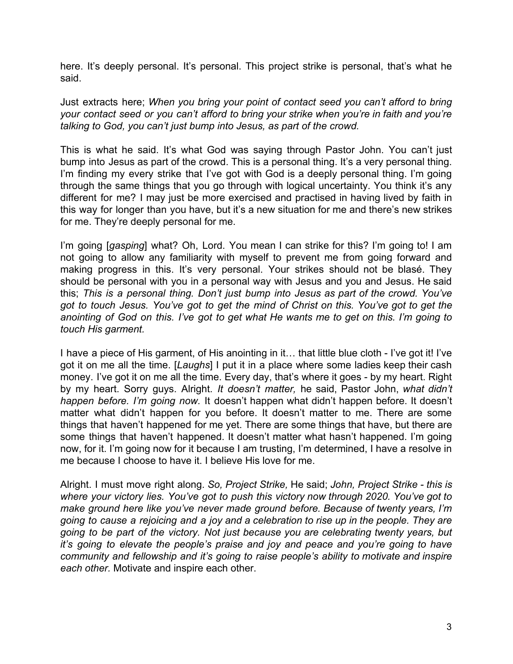here. It's deeply personal. It's personal. This project strike is personal, that's what he said.

Just extracts here; *When you bring your point of contact seed you can't afford to bring your contact seed or you can't afford to bring your strike when you're in faith and you're talking to God, you can't just bump into Jesus, as part of the crowd.*

This is what he said. It's what God was saying through Pastor John. You can't just bump into Jesus as part of the crowd. This is a personal thing. It's a very personal thing. I'm finding my every strike that I've got with God is a deeply personal thing. I'm going through the same things that you go through with logical uncertainty. You think it's any different for me? I may just be more exercised and practised in having lived by faith in this way for longer than you have, but it's a new situation for me and there's new strikes for me. They're deeply personal for me.

I'm going [*gasping*] what? Oh, Lord. You mean I can strike for this? I'm going to! I am not going to allow any familiarity with myself to prevent me from going forward and making progress in this. It's very personal. Your strikes should not be blasé. They should be personal with you in a personal way with Jesus and you and Jesus. He said this; *This is a personal thing. Don't just bump into Jesus as part of the crowd. You've got to touch Jesus. You've got to get the mind of Christ on this. You've got to get the* anointing of God on this. I've got to get what He wants me to get on this. I'm going to *touch His garment.*

I have a piece of His garment, of His anointing in it… that little blue cloth - I've got it! I've got it on me all the time. [*Laughs*] I put it in a place where some ladies keep their cash money. I've got it on me all the time. Every day, that's where it goes - by my heart. Right by my heart. Sorry guys. Alright. *It doesn't matter,* he said, Pastor John, *what didn't happen before. I'm going now.* It doesn't happen what didn't happen before. It doesn't matter what didn't happen for you before. It doesn't matter to me. There are some things that haven't happened for me yet. There are some things that have, but there are some things that haven't happened. It doesn't matter what hasn't happened. I'm going now, for it. I'm going now for it because I am trusting, I'm determined, I have a resolve in me because I choose to have it. I believe His love for me.

Alright. I must move right along. *So, Project Strike,* He said; *John, Project Strike - this is where your victory lies. You've got to push this victory now through 2020. You've got to make ground here like you've never made ground before. Because of twenty years, I'm going to cause a rejoicing and a joy and a celebration to rise up in the people. They are going to be part of the victory. Not just because you are celebrating twenty years, but it's going to elevate the people's praise and joy and peace and you're going to have community and fellowship and it's going to raise people's ability to motivate and inspire each other.* Motivate and inspire each other.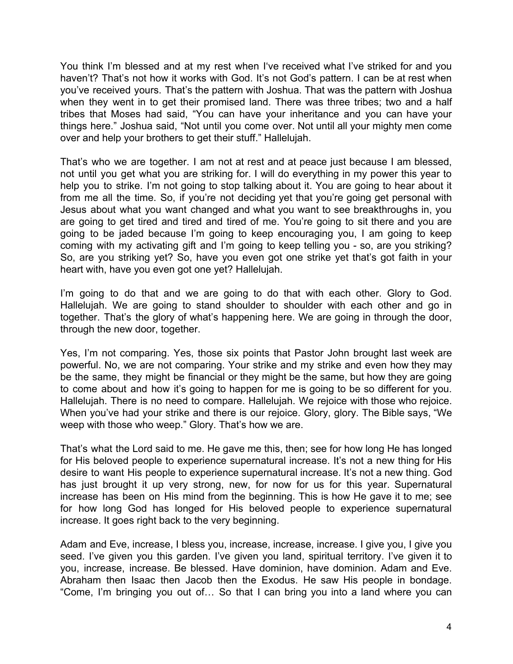You think I'm blessed and at my rest when I've received what I've striked for and you haven't? That's not how it works with God. It's not God's pattern. I can be at rest when you've received yours. That's the pattern with Joshua. That was the pattern with Joshua when they went in to get their promised land. There was three tribes; two and a half tribes that Moses had said, "You can have your inheritance and you can have your things here." Joshua said, "Not until you come over. Not until all your mighty men come over and help your brothers to get their stuff." Hallelujah.

That's who we are together. I am not at rest and at peace just because I am blessed, not until you get what you are striking for. I will do everything in my power this year to help you to strike. I'm not going to stop talking about it. You are going to hear about it from me all the time. So, if you're not deciding yet that you're going get personal with Jesus about what you want changed and what you want to see breakthroughs in, you are going to get tired and tired and tired of me. You're going to sit there and you are going to be jaded because I'm going to keep encouraging you, I am going to keep coming with my activating gift and I'm going to keep telling you - so, are you striking? So, are you striking yet? So, have you even got one strike yet that's got faith in your heart with, have you even got one yet? Hallelujah.

I'm going to do that and we are going to do that with each other. Glory to God. Hallelujah. We are going to stand shoulder to shoulder with each other and go in together. That's the glory of what's happening here. We are going in through the door, through the new door, together.

Yes, I'm not comparing. Yes, those six points that Pastor John brought last week are powerful. No, we are not comparing. Your strike and my strike and even how they may be the same, they might be financial or they might be the same, but how they are going to come about and how it's going to happen for me is going to be so different for you. Hallelujah. There is no need to compare. Hallelujah. We rejoice with those who rejoice. When you've had your strike and there is our rejoice. Glory, glory. The Bible says, "We weep with those who weep." Glory. That's how we are.

That's what the Lord said to me. He gave me this, then; see for how long He has longed for His beloved people to experience supernatural increase. It's not a new thing for His desire to want His people to experience supernatural increase. It's not a new thing. God has just brought it up very strong, new, for now for us for this year. Supernatural increase has been on His mind from the beginning. This is how He gave it to me; see for how long God has longed for His beloved people to experience supernatural increase. It goes right back to the very beginning.

Adam and Eve, increase, I bless you, increase, increase, increase. I give you, I give you seed. I've given you this garden. I've given you land, spiritual territory. I've given it to you, increase, increase. Be blessed. Have dominion, have dominion. Adam and Eve. Abraham then Isaac then Jacob then the Exodus. He saw His people in bondage. "Come, I'm bringing you out of… So that I can bring you into a land where you can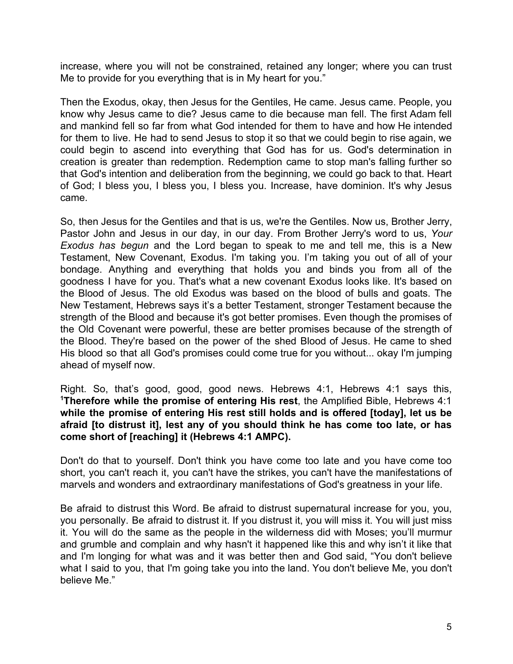increase, where you will not be constrained, retained any longer; where you can trust Me to provide for you everything that is in My heart for you."

Then the Exodus, okay, then Jesus for the Gentiles, He came. Jesus came. People, you know why Jesus came to die? Jesus came to die because man fell. The first Adam fell and mankind fell so far from what God intended for them to have and how He intended for them to live. He had to send Jesus to stop it so that we could begin to rise again, we could begin to ascend into everything that God has for us. God's determination in creation is greater than redemption. Redemption came to stop man's falling further so that God's intention and deliberation from the beginning, we could go back to that. Heart of God; I bless you, I bless you, I bless you. Increase, have dominion. It's why Jesus came.

So, then Jesus for the Gentiles and that is us, we're the Gentiles. Now us, Brother Jerry, Pastor John and Jesus in our day, in our day. From Brother Jerry's word to us, *Your Exodus has begun* and the Lord began to speak to me and tell me, this is a New Testament, New Covenant, Exodus. I'm taking you. I'm taking you out of all of your bondage. Anything and everything that holds you and binds you from all of the goodness I have for you. That's what a new covenant Exodus looks like. It's based on the Blood of Jesus. The old Exodus was based on the blood of bulls and goats. The New Testament, Hebrews says it's a better Testament, stronger Testament because the strength of the Blood and because it's got better promises. Even though the promises of the Old Covenant were powerful, these are better promises because of the strength of the Blood. They're based on the power of the shed Blood of Jesus. He came to shed His blood so that all God's promises could come true for you without... okay I'm jumping ahead of myself now.

Right. So, that's good, good, good news. Hebrews 4:1, Hebrews 4:1 says this, **<sup>1</sup>Therefore while the promise of entering His rest**, the Amplified Bible, Hebrews 4:1 **while the promise of entering His rest still holds and is offered [today], let us be afraid [to distrust it], lest any of you should think he has come too late, or has come short of [reaching] it (Hebrews 4:1 AMPC).**

Don't do that to yourself. Don't think you have come too late and you have come too short, you can't reach it, you can't have the strikes, you can't have the manifestations of marvels and wonders and extraordinary manifestations of God's greatness in your life.

Be afraid to distrust this Word. Be afraid to distrust supernatural increase for you, you, you personally. Be afraid to distrust it. If you distrust it, you will miss it. You will just miss it. You will do the same as the people in the wilderness did with Moses; you'll murmur and grumble and complain and why hasn't it happened like this and why isn't it like that and I'm longing for what was and it was better then and God said, "You don't believe what I said to you, that I'm going take you into the land. You don't believe Me, you don't believe Me."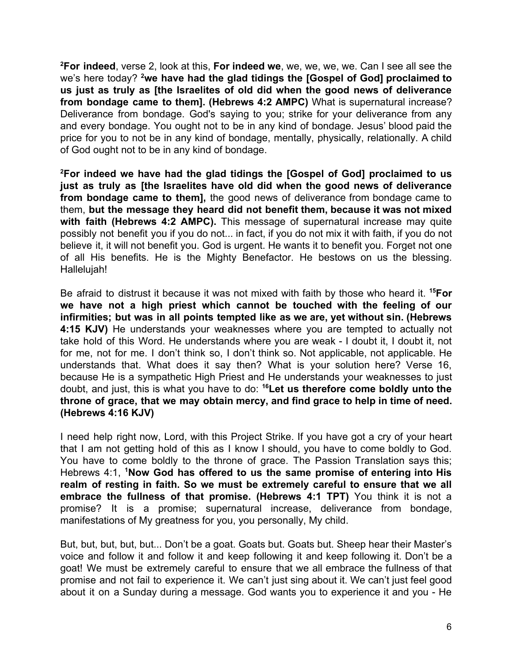**<sup>2</sup>For indeed**, verse 2, look at this, **For indeed we**, we, we, we, we. Can I see all see the we's here today? **<sup>2</sup>we have had the glad tidings the [Gospel of God] proclaimed to us just as truly as [the Israelites of old did when the good news of deliverance from bondage came to them]. (Hebrews 4:2 AMPC)** What is supernatural increase? Deliverance from bondage. God's saying to you; strike for your deliverance from any and every bondage. You ought not to be in any kind of bondage. Jesus' blood paid the price for you to not be in any kind of bondage, mentally, physically, relationally. A child of God ought not to be in any kind of bondage.

**<sup>2</sup>For indeed we have had the glad tidings the [Gospel of God] proclaimed to us just as truly as [the Israelites have old did when the good news of deliverance from bondage came to them],** the good news of deliverance from bondage came to them, **but the message they heard did not benefit them, because it was not mixed with faith (Hebrews 4:2 AMPC).** This message of supernatural increase may quite possibly not benefit you if you do not... in fact, if you do not mix it with faith, if you do not believe it, it will not benefit you. God is urgent. He wants it to benefit you. Forget not one of all His benefits. He is the Mighty Benefactor. He bestows on us the blessing. Hallelujah!

Be afraid to distrust it because it was not mixed with faith by those who heard it. **<sup>15</sup>For we have not a high priest which cannot be touched with the feeling of our infirmities; but was in all points tempted like as we are, yet without sin. (Hebrews 4:15 KJV)** He understands your weaknesses where you are tempted to actually not take hold of this Word. He understands where you are weak - I doubt it, I doubt it, not for me, not for me. I don't think so, I don't think so. Not applicable, not applicable. He understands that. What does it say then? What is your solution here? Verse 16, because He is a sympathetic High Priest and He understands your weaknesses to just doubt, and just, this is what you have to do: **<sup>16</sup>Let us therefore come boldly unto the throne of grace, that we may obtain mercy, and find grace to help in time of need. (Hebrews 4:16 KJV)**

I need help right now, Lord, with this Project Strike. If you have got a cry of your heart that I am not getting hold of this as I know I should, you have to come boldly to God. You have to come boldly to the throne of grace. The Passion Translation says this; Hebrews 4:1, **<sup>1</sup>Now God has offered to us the same promise of entering into His realm of resting in faith. So we must be extremely careful to ensure that we all embrace the fullness of that promise. (Hebrews 4:1 TPT)** You think it is not a promise? It is a promise; supernatural increase, deliverance from bondage, manifestations of My greatness for you, you personally, My child.

But, but, but, but, but... Don't be a goat. Goats but. Goats but. Sheep hear their Master's voice and follow it and follow it and keep following it and keep following it. Don't be a goat! We must be extremely careful to ensure that we all embrace the fullness of that promise and not fail to experience it. We can't just sing about it. We can't just feel good about it on a Sunday during a message. God wants you to experience it and you - He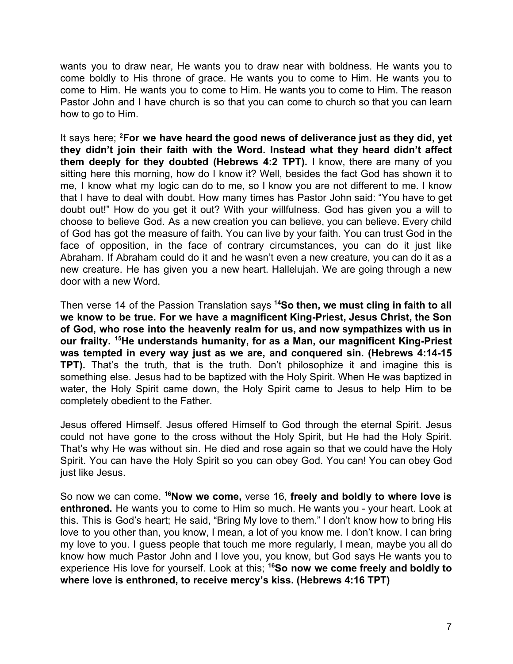wants you to draw near, He wants you to draw near with boldness. He wants you to come boldly to His throne of grace. He wants you to come to Him. He wants you to come to Him. He wants you to come to Him. He wants you to come to Him. The reason Pastor John and I have church is so that you can come to church so that you can learn how to go to Him.

It says here; **<sup>2</sup>For we have heard the good news of deliverance just as they did, yet they didn't join their faith with the Word. Instead what they heard didn't affect them deeply for they doubted (Hebrews 4:2 TPT).** I know, there are many of you sitting here this morning, how do I know it? Well, besides the fact God has shown it to me, I know what my logic can do to me, so I know you are not different to me. I know that I have to deal with doubt. How many times has Pastor John said: "You have to get doubt out!" How do you get it out? With your willfulness. God has given you a will to choose to believe God. As a new creation you can believe, you can believe. Every child of God has got the measure of faith. You can live by your faith. You can trust God in the face of opposition, in the face of contrary circumstances, you can do it just like Abraham. If Abraham could do it and he wasn't even a new creature, you can do it as a new creature. He has given you a new heart. Hallelujah. We are going through a new door with a new Word.

Then verse 14 of the Passion Translation says **<sup>14</sup>So then, we must cling in faith to all we know to be true. For we have a magnificent King-Priest, Jesus Christ, the Son of God, who rose into the heavenly realm for us, and now sympathizes with us in our frailty. <sup>15</sup>He understands humanity, for as a Man, our magnificent King-Priest was tempted in every way just as we are, and conquered sin. (Hebrews 4:14-15 TPT).** That's the truth, that is the truth. Don't philosophize it and imagine this is something else. Jesus had to be baptized with the Holy Spirit. When He was baptized in water, the Holy Spirit came down, the Holy Spirit came to Jesus to help Him to be completely obedient to the Father.

Jesus offered Himself. Jesus offered Himself to God through the eternal Spirit. Jesus could not have gone to the cross without the Holy Spirit, but He had the Holy Spirit. That's why He was without sin. He died and rose again so that we could have the Holy Spirit. You can have the Holy Spirit so you can obey God. You can! You can obey God just like Jesus.

So now we can come. **<sup>16</sup>Now we come,** verse 16, **freely and boldly to where love is enthroned.** He wants you to come to Him so much. He wants you - your heart. Look at this. This is God's heart; He said, "Bring My love to them." I don't know how to bring His love to you other than, you know, I mean, a lot of you know me. I don't know. I can bring my love to you. I guess people that touch me more regularly, I mean, maybe you all do know how much Pastor John and I love you, you know, but God says He wants you to experience His love for yourself. Look at this; **<sup>16</sup>So now we come freely and boldly to where love is enthroned, to receive mercy's kiss. (Hebrews 4:16 TPT)**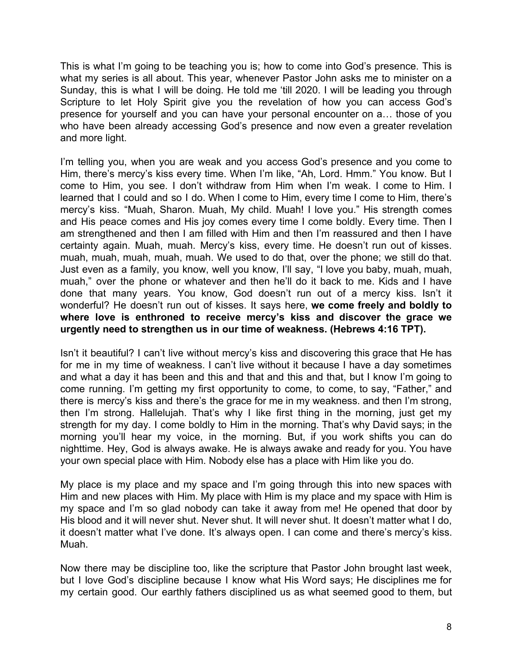This is what I'm going to be teaching you is; how to come into God's presence. This is what my series is all about. This year, whenever Pastor John asks me to minister on a Sunday, this is what I will be doing. He told me 'till 2020. I will be leading you through Scripture to let Holy Spirit give you the revelation of how you can access God's presence for yourself and you can have your personal encounter on a… those of you who have been already accessing God's presence and now even a greater revelation and more light.

I'm telling you, when you are weak and you access God's presence and you come to Him, there's mercy's kiss every time. When I'm like, "Ah, Lord. Hmm." You know. But I come to Him, you see. I don't withdraw from Him when I'm weak. I come to Him. I learned that I could and so I do. When I come to Him, every time I come to Him, there's mercy's kiss. "Muah, Sharon. Muah, My child. Muah! I love you." His strength comes and His peace comes and His joy comes every time I come boldly. Every time. Then I am strengthened and then I am filled with Him and then I'm reassured and then I have certainty again. Muah, muah. Mercy's kiss, every time. He doesn't run out of kisses. muah, muah, muah, muah, muah. We used to do that, over the phone; we still do that. Just even as a family, you know, well you know, I'll say, "I love you baby, muah, muah, muah," over the phone or whatever and then he'll do it back to me. Kids and I have done that many years. You know, God doesn't run out of a mercy kiss. Isn't it wonderful? He doesn't run out of kisses. It says here, **we come freely and boldly to where love is enthroned to receive mercy's kiss and discover the grace we urgently need to strengthen us in our time of weakness. (Hebrews 4:16 TPT).**

Isn't it beautiful? I can't live without mercy's kiss and discovering this grace that He has for me in my time of weakness. I can't live without it because I have a day sometimes and what a day it has been and this and that and this and that, but I know I'm going to come running. I'm getting my first opportunity to come, to come, to say, "Father," and there is mercy's kiss and there's the grace for me in my weakness. and then I'm strong, then I'm strong. Hallelujah. That's why I like first thing in the morning, just get my strength for my day. I come boldly to Him in the morning. That's why David says; in the morning you'll hear my voice, in the morning. But, if you work shifts you can do nighttime. Hey, God is always awake. He is always awake and ready for you. You have your own special place with Him. Nobody else has a place with Him like you do.

My place is my place and my space and I'm going through this into new spaces with Him and new places with Him. My place with Him is my place and my space with Him is my space and I'm so glad nobody can take it away from me! He opened that door by His blood and it will never shut. Never shut. It will never shut. It doesn't matter what I do, it doesn't matter what I've done. It's always open. I can come and there's mercy's kiss. Muah.

Now there may be discipline too, like the scripture that Pastor John brought last week, but I love God's discipline because I know what His Word says; He disciplines me for my certain good. Our earthly fathers disciplined us as what seemed good to them, but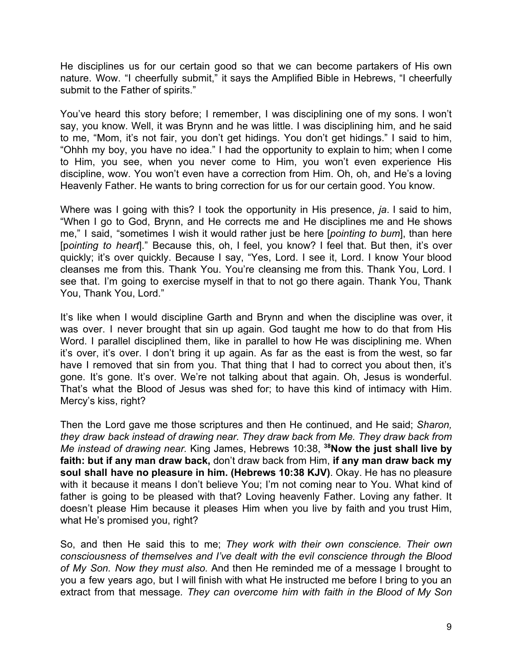He disciplines us for our certain good so that we can become partakers of His own nature. Wow. "I cheerfully submit," it says the Amplified Bible in Hebrews, "I cheerfully submit to the Father of spirits."

You've heard this story before; I remember, I was disciplining one of my sons. I won't say, you know. Well, it was Brynn and he was little. I was disciplining him, and he said to me, "Mom, it's not fair, you don't get hidings. You don't get hidings." I said to him, "Ohhh my boy, you have no idea." I had the opportunity to explain to him; when I come to Him, you see, when you never come to Him, you won't even experience His discipline, wow. You won't even have a correction from Him. Oh, oh, and He's a loving Heavenly Father. He wants to bring correction for us for our certain good. You know.

Where was I going with this? I took the opportunity in His presence, *ja*. I said to him, "When I go to God, Brynn, and He corrects me and He disciplines me and He shows me," I said, "sometimes I wish it would rather just be here [*pointing to bum*], than here [p*ointing to heart*]." Because this, oh, I feel, you know? I feel that. But then, it's over quickly; it's over quickly. Because I say, "Yes, Lord. I see it, Lord. I know Your blood cleanses me from this. Thank You. You're cleansing me from this. Thank You, Lord. I see that. I'm going to exercise myself in that to not go there again. Thank You, Thank You, Thank You, Lord."

It's like when I would discipline Garth and Brynn and when the discipline was over, it was over. I never brought that sin up again. God taught me how to do that from His Word. I parallel disciplined them, like in parallel to how He was disciplining me. When it's over, it's over. I don't bring it up again. As far as the east is from the west, so far have I removed that sin from you. That thing that I had to correct you about then, it's gone. It's gone. It's over. We're not talking about that again. Oh, Jesus is wonderful. That's what the Blood of Jesus was shed for; to have this kind of intimacy with Him. Mercy's kiss, right?

Then the Lord gave me those scriptures and then He continued, and He said; *Sharon, they draw back instead of drawing near. They draw back from Me. They draw back from Me instead of drawing near.* King James, Hebrews 10:38, **<sup>38</sup>Now the just shall live by faith: but if any man draw back,** don't draw back from Him, **if any man draw back my soul shall have no pleasure in him. (Hebrews 10:38 KJV)**. Okay. He has no pleasure with it because it means I don't believe You; I'm not coming near to You. What kind of father is going to be pleased with that? Loving heavenly Father. Loving any father. It doesn't please Him because it pleases Him when you live by faith and you trust Him, what He's promised you, right?

So, and then He said this to me; *They work with their own conscience. Their own consciousness of themselves and I've dealt with the evil conscience through the Blood of My Son. Now they must also.* And then He reminded me of a message I brought to you a few years ago, but I will finish with what He instructed me before I bring to you an extract from that message*. They can overcome him with faith in the Blood of My Son*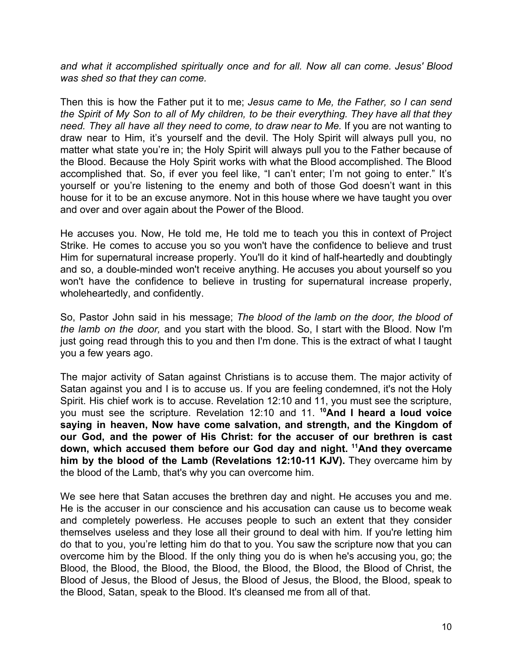*and what it accomplished spiritually once and for all. Now all can come. Jesus' Blood was shed so that they can come.*

Then this is how the Father put it to me; *Jesus came to Me, the Father, so I can send the Spirit of My Son to all of My children, to be their everything. They have all that they need. They all have all they need to come, to draw near to Me.* If you are not wanting to draw near to Him, it's yourself and the devil. The Holy Spirit will always pull you, no matter what state you're in; the Holy Spirit will always pull you to the Father because of the Blood. Because the Holy Spirit works with what the Blood accomplished. The Blood accomplished that. So, if ever you feel like, "I can't enter; I'm not going to enter." It's yourself or you're listening to the enemy and both of those God doesn't want in this house for it to be an excuse anymore. Not in this house where we have taught you over and over and over again about the Power of the Blood.

He accuses you. Now, He told me, He told me to teach you this in context of Project Strike. He comes to accuse you so you won't have the confidence to believe and trust Him for supernatural increase properly. You'll do it kind of half-heartedly and doubtingly and so, a double-minded won't receive anything. He accuses you about yourself so you won't have the confidence to believe in trusting for supernatural increase properly, wholeheartedly, and confidently.

So, Pastor John said in his message; *The blood of the lamb on the door, the blood of the lamb on the door,* and you start with the blood. So, I start with the Blood. Now I'm just going read through this to you and then I'm done. This is the extract of what I taught you a few years ago.

The major activity of Satan against Christians is to accuse them. The major activity of Satan against you and I is to accuse us. If you are feeling condemned, it's not the Holy Spirit. His chief work is to accuse. Revelation 12:10 and 11, you must see the scripture, you must see the scripture. Revelation 12:10 and 11. **<sup>10</sup>And I heard a loud voice saying in heaven, Now have come salvation, and strength, and the Kingdom of our God, and the power of His Christ: for the accuser of our brethren is cast down, which accused them before our God day and night. <sup>11</sup>And they overcame him by the blood of the Lamb (Revelations 12:10-11 KJV).** They overcame him by the blood of the Lamb, that's why you can overcome him.

We see here that Satan accuses the brethren day and night. He accuses you and me. He is the accuser in our conscience and his accusation can cause us to become weak and completely powerless. He accuses people to such an extent that they consider themselves useless and they lose all their ground to deal with him. If you're letting him do that to you, you're letting him do that to you. You saw the scripture now that you can overcome him by the Blood. If the only thing you do is when he's accusing you, go; the Blood, the Blood, the Blood, the Blood, the Blood, the Blood, the Blood of Christ, the Blood of Jesus, the Blood of Jesus, the Blood of Jesus, the Blood, the Blood, speak to the Blood, Satan, speak to the Blood. It's cleansed me from all of that.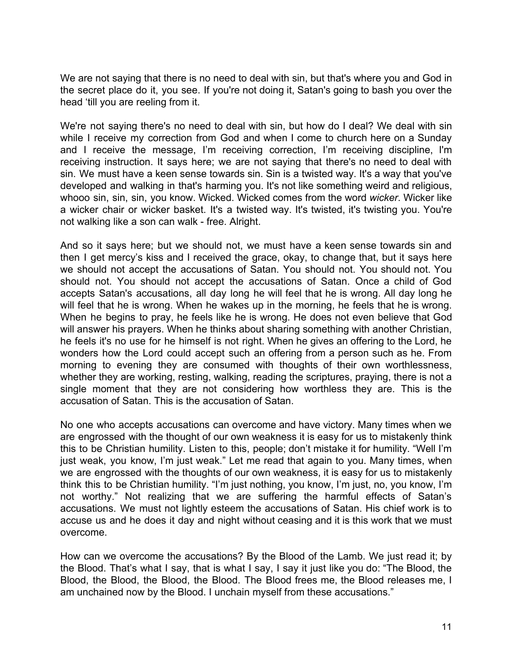We are not saying that there is no need to deal with sin, but that's where you and God in the secret place do it, you see. If you're not doing it, Satan's going to bash you over the head 'till you are reeling from it.

We're not saying there's no need to deal with sin, but how do I deal? We deal with sin while I receive my correction from God and when I come to church here on a Sunday and I receive the message, I'm receiving correction, I'm receiving discipline, I'm receiving instruction. It says here; we are not saying that there's no need to deal with sin. We must have a keen sense towards sin. Sin is a twisted way. It's a way that you've developed and walking in that's harming you. It's not like something weird and religious, whooo sin, sin, sin, you know. Wicked. Wicked comes from the word *wicker*. Wicker like a wicker chair or wicker basket. It's a twisted way. It's twisted, it's twisting you. You're not walking like a son can walk - free. Alright.

And so it says here; but we should not, we must have a keen sense towards sin and then I get mercy's kiss and I received the grace, okay, to change that, but it says here we should not accept the accusations of Satan. You should not. You should not. You should not. You should not accept the accusations of Satan. Once a child of God accepts Satan's accusations, all day long he will feel that he is wrong. All day long he will feel that he is wrong. When he wakes up in the morning, he feels that he is wrong. When he begins to pray, he feels like he is wrong. He does not even believe that God will answer his prayers. When he thinks about sharing something with another Christian, he feels it's no use for he himself is not right. When he gives an offering to the Lord, he wonders how the Lord could accept such an offering from a person such as he. From morning to evening they are consumed with thoughts of their own worthlessness, whether they are working, resting, walking, reading the scriptures, praying, there is not a single moment that they are not considering how worthless they are. This is the accusation of Satan. This is the accusation of Satan.

No one who accepts accusations can overcome and have victory. Many times when we are engrossed with the thought of our own weakness it is easy for us to mistakenly think this to be Christian humility. Listen to this, people; don't mistake it for humility. "Well I'm just weak, you know, I'm just weak." Let me read that again to you. Many times, when we are engrossed with the thoughts of our own weakness, it is easy for us to mistakenly think this to be Christian humility. "I'm just nothing, you know, I'm just, no, you know, I'm not worthy." Not realizing that we are suffering the harmful effects of Satan's accusations. We must not lightly esteem the accusations of Satan. His chief work is to accuse us and he does it day and night without ceasing and it is this work that we must overcome.

How can we overcome the accusations? By the Blood of the Lamb. We just read it; by the Blood. That's what I say, that is what I say, I say it just like you do: "The Blood, the Blood, the Blood, the Blood, the Blood. The Blood frees me, the Blood releases me, I am unchained now by the Blood. I unchain myself from these accusations."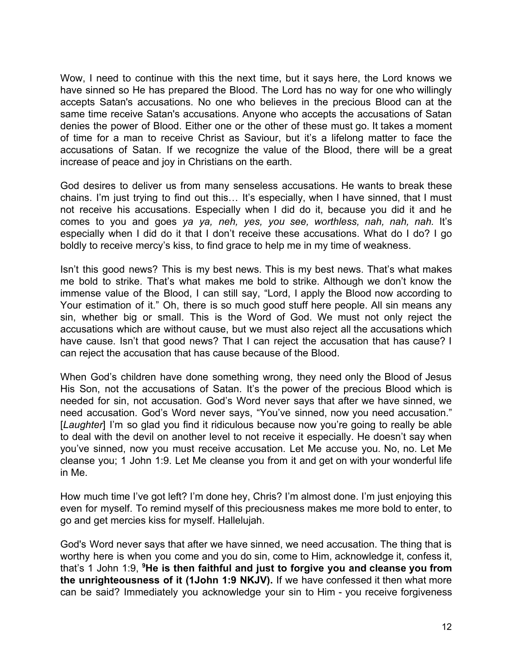Wow, I need to continue with this the next time, but it says here, the Lord knows we have sinned so He has prepared the Blood. The Lord has no way for one who willingly accepts Satan's accusations. No one who believes in the precious Blood can at the same time receive Satan's accusations. Anyone who accepts the accusations of Satan denies the power of Blood. Either one or the other of these must go. It takes a moment of time for a man to receive Christ as Saviour, but it's a lifelong matter to face the accusations of Satan. If we recognize the value of the Blood, there will be a great increase of peace and joy in Christians on the earth.

God desires to deliver us from many senseless accusations. He wants to break these chains. I'm just trying to find out this… It's especially, when I have sinned, that I must not receive his accusations. Especially when I did do it, because you did it and he comes to you and goes *ya ya, neh, yes, you see, worthless, nah, nah, nah.* It's especially when I did do it that I don't receive these accusations. What do I do? I go boldly to receive mercy's kiss, to find grace to help me in my time of weakness.

Isn't this good news? This is my best news. This is my best news. That's what makes me bold to strike. That's what makes me bold to strike. Although we don't know the immense value of the Blood, I can still say, "Lord, I apply the Blood now according to Your estimation of it." Oh, there is so much good stuff here people. All sin means any sin, whether big or small. This is the Word of God. We must not only reject the accusations which are without cause, but we must also reject all the accusations which have cause. Isn't that good news? That I can reject the accusation that has cause? I can reject the accusation that has cause because of the Blood.

When God's children have done something wrong, they need only the Blood of Jesus His Son, not the accusations of Satan. It's the power of the precious Blood which is needed for sin, not accusation. God's Word never says that after we have sinned, we need accusation. God's Word never says, "You've sinned, now you need accusation." [*Laughter*] I'm so glad you find it ridiculous because now you're going to really be able to deal with the devil on another level to not receive it especially. He doesn't say when you've sinned, now you must receive accusation. Let Me accuse you. No, no. Let Me cleanse you; 1 John 1:9. Let Me cleanse you from it and get on with your wonderful life in Me.

How much time I've got left? I'm done hey, Chris? I'm almost done. I'm just enjoying this even for myself. To remind myself of this preciousness makes me more bold to enter, to go and get mercies kiss for myself. Hallelujah.

God's Word never says that after we have sinned, we need accusation. The thing that is worthy here is when you come and you do sin, come to Him, acknowledge it, confess it, that's 1 John 1:9, **<sup>9</sup>He is then faithful and just to forgive you and cleanse you from the unrighteousness of it (1John 1:9 NKJV).** If we have confessed it then what more can be said? Immediately you acknowledge your sin to Him - you receive forgiveness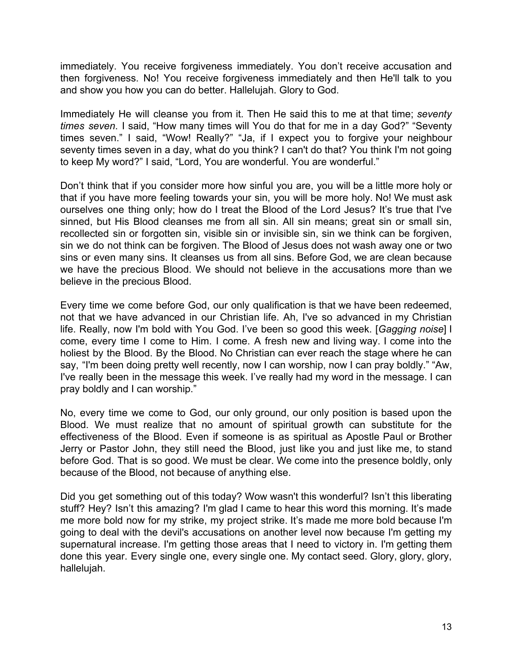immediately. You receive forgiveness immediately. You don't receive accusation and then forgiveness. No! You receive forgiveness immediately and then He'll talk to you and show you how you can do better. Hallelujah. Glory to God.

Immediately He will cleanse you from it. Then He said this to me at that time; *seventy times seven*. I said, "How many times will You do that for me in a day God?" "Seventy times seven." I said, "Wow! Really?" "Ja, if I expect you to forgive your neighbour seventy times seven in a day, what do you think? I can't do that? You think I'm not going to keep My word?" I said, "Lord, You are wonderful. You are wonderful."

Don't think that if you consider more how sinful you are, you will be a little more holy or that if you have more feeling towards your sin, you will be more holy. No! We must ask ourselves one thing only; how do I treat the Blood of the Lord Jesus? It's true that I've sinned, but His Blood cleanses me from all sin. All sin means; great sin or small sin, recollected sin or forgotten sin, visible sin or invisible sin, sin we think can be forgiven, sin we do not think can be forgiven. The Blood of Jesus does not wash away one or two sins or even many sins. It cleanses us from all sins. Before God, we are clean because we have the precious Blood. We should not believe in the accusations more than we believe in the precious Blood.

Every time we come before God, our only qualification is that we have been redeemed, not that we have advanced in our Christian life. Ah, I've so advanced in my Christian life. Really, now I'm bold with You God. I've been so good this week. [*Gagging noise*] I come, every time I come to Him. I come. A fresh new and living way. I come into the holiest by the Blood. By the Blood. No Christian can ever reach the stage where he can say, "I'm been doing pretty well recently, now I can worship, now I can pray boldly." "Aw, I've really been in the message this week. I've really had my word in the message. I can pray boldly and I can worship."

No, every time we come to God, our only ground, our only position is based upon the Blood. We must realize that no amount of spiritual growth can substitute for the effectiveness of the Blood. Even if someone is as spiritual as Apostle Paul or Brother Jerry or Pastor John, they still need the Blood, just like you and just like me, to stand before God. That is so good. We must be clear. We come into the presence boldly, only because of the Blood, not because of anything else.

Did you get something out of this today? Wow wasn't this wonderful? Isn't this liberating stuff? Hey? Isn't this amazing? I'm glad I came to hear this word this morning. It's made me more bold now for my strike, my project strike. It's made me more bold because I'm going to deal with the devil's accusations on another level now because I'm getting my supernatural increase. I'm getting those areas that I need to victory in. I'm getting them done this year. Every single one, every single one. My contact seed. Glory, glory, glory, hallelujah.